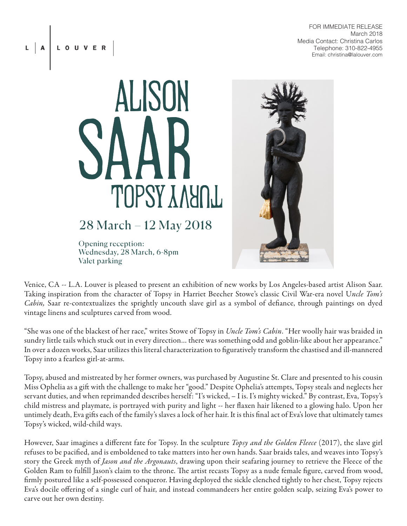FOR IMMEDIATE RELEASE March 2018 Media Contact: Christina Carlos Telephone: 310-822-4955 Email: christina@lalouver.com



28 March – 12 May 2018

Opening reception: Wednesday, 28 March, 6-8pm Valet parking



Venice, CA -- L.A. Louver is pleased to present an exhibition of new works by Los Angeles-based artist Alison Saar. Taking inspiration from the character of Topsy in Harriet Beecher Stowe's classic Civil War-era novel U*ncle Tom's Cabin,* Saar re-contextualizes the sprightly uncouth slave girl as a symbol of defiance, through paintings on dyed vintage linens and sculptures carved from wood.

"She was one of the blackest of her race," writes Stowe of Topsy in *Uncle Tom's Cabin*. "Her woolly hair was braided in sundry little tails which stuck out in every direction… there was something odd and goblin-like about her appearance." In over a dozen works, Saar utilizes this literal characterization to figuratively transform the chastised and ill-mannered Topsy into a fearless girl-at-arms.

Topsy, abused and mistreated by her former owners, was purchased by Augustine St. Clare and presented to his cousin Miss Ophelia as a gift with the challenge to make her "good." Despite Ophelia's attempts, Topsy steals and neglects her servant duties, and when reprimanded describes herself: "I's wicked, – I is. I's mighty wicked." By contrast, Eva, Topsy's child mistress and playmate, is portrayed with purity and light -- her flaxen hair likened to a glowing halo. Upon her untimely death, Eva gifts each of the family's slaves a lock of her hair. It is this final act of Eva's love that ultimately tames Topsy's wicked, wild-child ways.

However, Saar imagines a different fate for Topsy. In the sculpture *Topsy and the Golden Fleece* (2017), the slave girl refuses to be pacified, and is emboldened to take matters into her own hands. Saar braids tales, and weaves into Topsy's story the Greek myth of *Jason and the Argonauts*, drawing upon their seafaring journey to retrieve the Fleece of the Golden Ram to fulfill Jason's claim to the throne. The artist recasts Topsy as a nude female figure, carved from wood, firmly postured like a self-possessed conqueror. Having deployed the sickle clenched tightly to her chest, Topsy rejects Eva's docile offering of a single curl of hair, and instead commandeers her entire golden scalp, seizing Eva's power to carve out her own destiny.

A LOUVER